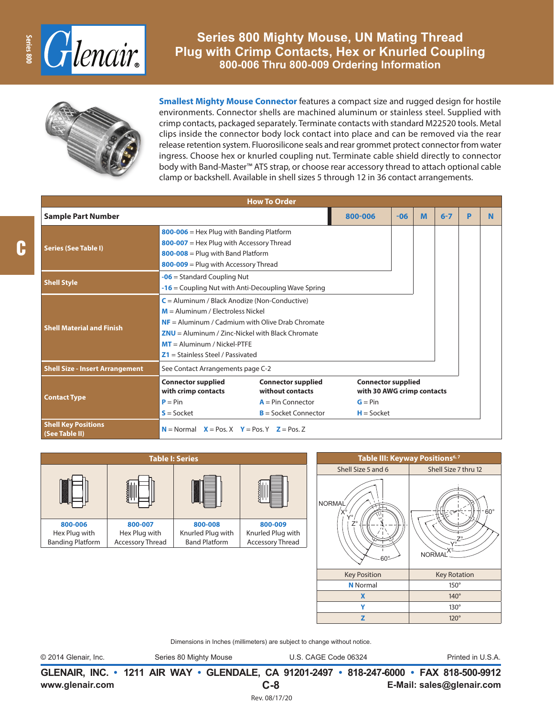

## **Series 800 Mighty Mouse, UN Mating Thread Plug with Crimp Contacts, Hex or Knurled Coupling 800-006 Thru 800-009 Ordering Information**



**Smallest Mighty Mouse Connector** features a compact size and rugged design for hostile environments. Connector shells are machined aluminum or stainless steel. Supplied with crimp contacts, packaged separately. Terminate contacts with standard M22520 tools. Metal clips inside the connector body lock contact into place and can be removed via the rear release retention system. Fluorosilicone seals and rear grommet protect connector from water ingress. Choose hex or knurled coupling nut. Terminate cable shield directly to connector body with Band-Master™ ATS strap, or choose rear accessory thread to attach optional cable clamp or backshell. Available in shell sizes 5 through 12 in 36 contact arrangements.

| <b>How To Order</b>                          |                                                                                                                                                                                                                                                                            |  |                                                                                       |       |   |         |   |   |
|----------------------------------------------|----------------------------------------------------------------------------------------------------------------------------------------------------------------------------------------------------------------------------------------------------------------------------|--|---------------------------------------------------------------------------------------|-------|---|---------|---|---|
| <b>Sample Part Number</b>                    |                                                                                                                                                                                                                                                                            |  | 800-006                                                                               | $-06$ | M | $6 - 7$ | P | N |
| <b>Series (See Table I)</b>                  | $800 - 006$ = Hex Plug with Banding Platform<br>$800-007$ = Hex Plug with Accessory Thread<br>$800 - 008 =$ Plug with Band Platform<br>800-009 = Plug with Accessory Thread                                                                                                |  |                                                                                       |       |   |         |   |   |
| <b>Shell Style</b>                           | $-06$ = Standard Coupling Nut<br>$-16$ = Coupling Nut with Anti-Decoupling Wave Spring                                                                                                                                                                                     |  |                                                                                       |       |   |         |   |   |
| <b>Shell Material and Finish</b>             | $C =$ Aluminum / Black Anodize (Non-Conductive)<br>$M =$ Aluminum / Electroless Nickel<br>$NF =$ Aluminum / Cadmium with Olive Drab Chromate<br>$ZNU =$ Aluminum / Zinc-Nickel with Black Chromate<br>$MT =$ Aluminum / Nickel-PTFE<br>$Z1 =$ Stainless Steel / Passivated |  |                                                                                       |       |   |         |   |   |
| <b>Shell Size - Insert Arrangement</b>       | See Contact Arrangements page C-2                                                                                                                                                                                                                                          |  |                                                                                       |       |   |         |   |   |
| <b>Contact Type</b>                          | <b>Connector supplied</b><br><b>Connector supplied</b><br>with crimp contacts<br>without contacts<br>$P = Pin$<br>$A = Pin Connector$<br>$B =$ Socket Connector<br>$S = S$ ocket                                                                                           |  | <b>Connector supplied</b><br>with 30 AWG crimp contacts<br>$G = Pin$<br>$H = S$ ocket |       |   |         |   |   |
| <b>Shell Key Positions</b><br>(See Table II) | $N =$ Normal $X =$ Pos. X $Y =$ Pos. Y $Z =$ Pos. Z                                                                                                                                                                                                                        |  |                                                                                       |       |   |         |   |   |

| <b>Table I: Series</b>  |                         |                      |                   |  |  |  |
|-------------------------|-------------------------|----------------------|-------------------|--|--|--|
|                         |                         |                      |                   |  |  |  |
| 800-006                 | 800-007                 | 800-008              | 800-009           |  |  |  |
| Hex Plug with           | Hex Plug with           | Knurled Plug with    | Knurled Plug with |  |  |  |
| <b>Banding Platform</b> | <b>Accessory Thread</b> | <b>Band Platform</b> | Accessory Thread  |  |  |  |



Dimensions in Inches (millimeters) are subject to change without notice.

© 2014 Glenair, Inc. Series 80 Mighty Mouse U.S. CAGE Code 06324 Printed in U.S.A.

**www.glenair.com E-Mail: sales@glenair.com GLENAIR, INC. • 1211 AIR WAY • GLENDALE, CA 91201-2497 • 818-247-6000 • FAX 818-500-9912 C-8**

Rev. 08/17/20